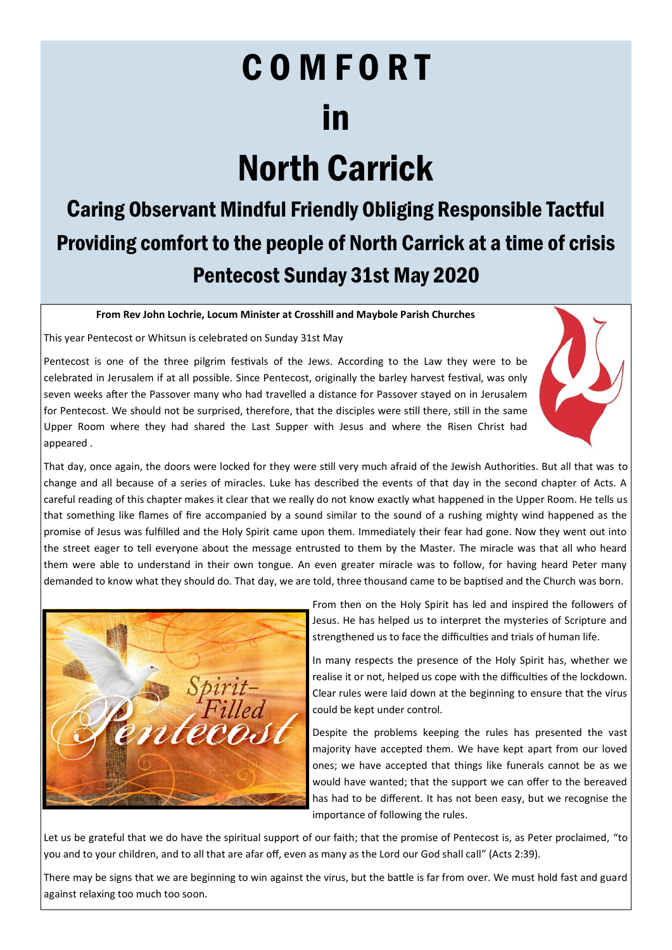# COMFORT in North Carrick

## Caring Observant Mindful Friendly Obliging Responsible Tactful Providing comfort to the people of North Carrick at a time of crisis Pentecost Sunday 31st May 2020

#### **From Rev John Lochrie, Locum Minister at Crosshill and Maybole Parish Churches**

This year Pentecost or Whitsun is celebrated on Sunday 31st May

Pentecost is one of the three pilgrim festivals of the Jews. According to the Law they were to be celebrated in Jerusalem if at all possible. Since Pentecost, originally the barley harvest festival, was only seven weeks after the Passover many who had travelled a distance for Passover stayed on in Jerusalem for Pentecost. We should not be surprised, therefore, that the disciples were still there, still in the same Upper Room where they had shared the Last Supper with Jesus and where the Risen Christ had appeared .



That day, once again, the doors were locked for they were still very much afraid of the Jewish Authorities. But all that was to change and all because of a series of miracles. Luke has described the events of that day in the second chapter of Acts. A careful reading of this chapter makes it clear that we really do not know exactly what happened in the Upper Room. He tells us that something like flames of fire accompanied by a sound similar to the sound of a rushing mighty wind happened as the promise of Jesus was fulfilled and the Holy Spirit came upon them. Immediately their fear had gone. Now they went out into the street eager to tell everyone about the message entrusted to them by the Master. The miracle was that all who heard them were able to understand in their own tongue. An even greater miracle was to follow, for having heard Peter many demanded to know what they should do. That day, we are told, three thousand came to be baptised and the Church was born.



From then on the Holy Spirit has led and inspired the followers of Jesus. He has helped us to interpret the mysteries of Scripture and strengthened us to face the difficulties and trials of human life.

In many respects the presence of the Holy Spirit has, whether we realise it or not, helped us cope with the difficulties of the lockdown. Clear rules were laid down at the beginning to ensure that the virus could be kept under control.

Despite the problems keeping the rules has presented the vast majority have accepted them. We have kept apart from our loved ones; we have accepted that things like funerals cannot be as we would have wanted; that the support we can offer to the bereaved has had to be different. It has not been easy, but we recognise the importance of following the rules.

Let us be grateful that we do have the spiritual support of our faith; that the promise of Pentecost is, as Peter proclaimed, "to you and to your children, and to all that are afar off, even as many as the Lord our God shall call" (Acts 2:39).

There may be signs that we are beginning to win against the virus, but the battle is far from over. We must hold fast and guard against relaxing too much too soon.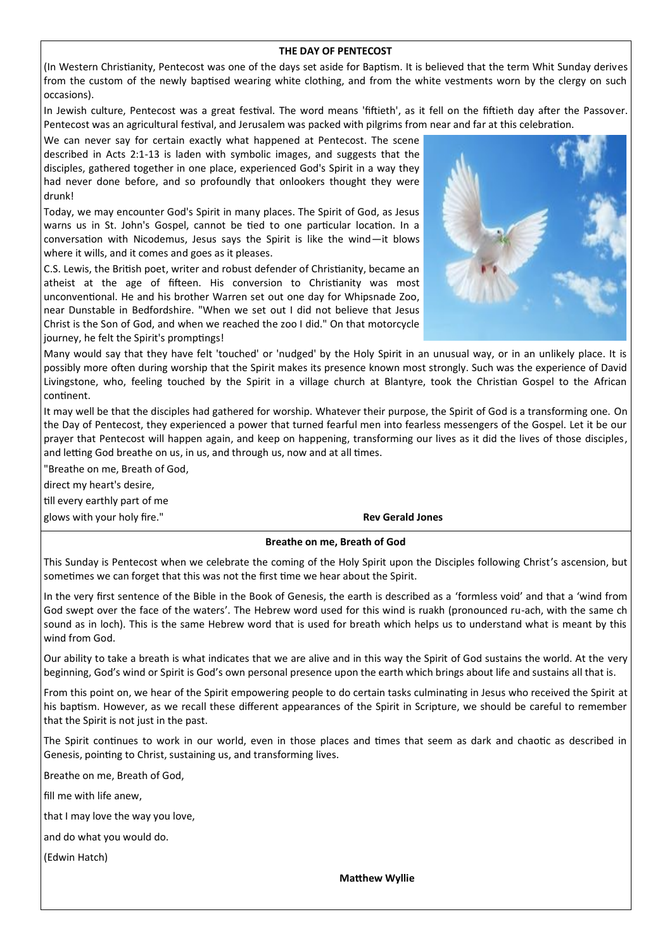#### **THE DAY OF PENTECOST**

(In Western Christianity, Pentecost was one of the days set aside for Baptism. It is believed that the term Whit Sunday derives from the custom of the newly baptised wearing white clothing, and from the white vestments worn by the clergy on such occasions).

In Jewish culture, Pentecost was a great festival. The word means 'fiftieth', as it fell on the fiftieth day after the Passover. Pentecost was an agricultural festival, and Jerusalem was packed with pilgrims from near and far at this celebration.

We can never say for certain exactly what happened at Pentecost. The scene described in Acts 2:1-13 is laden with symbolic images, and suggests that the disciples, gathered together in one place, experienced God's Spirit in a way they had never done before, and so profoundly that onlookers thought they were drunk!

Today, we may encounter God's Spirit in many places. The Spirit of God, as Jesus warns us in St. John's Gospel, cannot be tied to one particular location. In a conversation with Nicodemus, Jesus says the Spirit is like the wind—it blows where it wills, and it comes and goes as it pleases.

C.S. Lewis, the British poet, writer and robust defender of Christianity, became an atheist at the age of fifteen. His conversion to Christianity was most unconventional. He and his brother Warren set out one day for Whipsnade Zoo, near Dunstable in Bedfordshire. "When we set out I did not believe that Jesus Christ is the Son of God, and when we reached the zoo I did." On that motorcycle journey, he felt the Spirit's promptings!



Many would say that they have felt 'touched' or 'nudged' by the Holy Spirit in an unusual way, or in an unlikely place. It is possibly more often during worship that the Spirit makes its presence known most strongly. Such was the experience of David Livingstone, who, feeling touched by the Spirit in a village church at Blantyre, took the Christian Gospel to the African continent.

It may well be that the disciples had gathered for worship. Whatever their purpose, the Spirit of God is a transforming one. On the Day of Pentecost, they experienced a power that turned fearful men into fearless messengers of the Gospel. Let it be our prayer that Pentecost will happen again, and keep on happening, transforming our lives as it did the lives of those disciples, and letting God breathe on us, in us, and through us, now and at all times.

"Breathe on me, Breath of God,

direct my heart's desire,

till every earthly part of me

glows with your holy fire." **Rev Gerald Jones Rev Gerald Jones** 

#### **Breathe on me, Breath of God**

This Sunday is Pentecost when we celebrate the coming of the Holy Spirit upon the Disciples following Christ's ascension, but sometimes we can forget that this was not the first time we hear about the Spirit.

In the very first sentence of the Bible in the Book of Genesis, the earth is described as a 'formless void' and that a 'wind from God swept over the face of the waters'. The Hebrew word used for this wind is ruakh (pronounced ru-ach, with the same ch sound as in loch). This is the same Hebrew word that is used for breath which helps us to understand what is meant by this wind from God.

Our ability to take a breath is what indicates that we are alive and in this way the Spirit of God sustains the world. At the very beginning, God's wind or Spirit is God's own personal presence upon the earth which brings about life and sustains all that is.

From this point on, we hear of the Spirit empowering people to do certain tasks culminating in Jesus who received the Spirit at his baptism. However, as we recall these different appearances of the Spirit in Scripture, we should be careful to remember that the Spirit is not just in the past.

The Spirit continues to work in our world, even in those places and times that seem as dark and chaotic as described in Genesis, pointing to Christ, sustaining us, and transforming lives.

Breathe on me, Breath of God,

fill me with life anew,

that I may love the way you love,

and do what you would do.

(Edwin Hatch)

**Matthew Wyllie**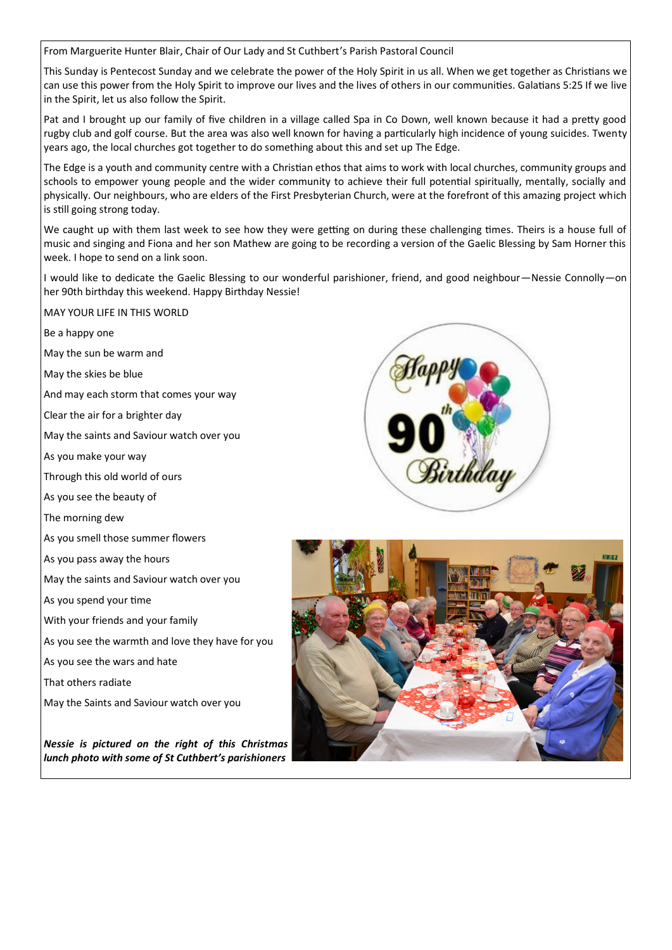From Marguerite Hunter Blair, Chair of Our Lady and St Cuthbert's Parish Pastoral Council

This Sunday is Pentecost Sunday and we celebrate the power of the Holy Spirit in us all. When we get together as Christians we can use this power from the Holy Spirit to improve our lives and the lives of others in our communities. Galatians 5:25 If we live in the Spirit, let us also follow the Spirit.

Pat and I brought up our family of five children in a village called Spa in Co Down, well known because it had a pretty good rugby club and golf course. But the area was also well known for having a particularly high incidence of young suicides. Twenty years ago, the local churches got together to do something about this and set up The Edge.

The Edge is a youth and community centre with a Christian ethos that aims to work with local churches, community groups and schools to empower young people and the wider community to achieve their full potential spiritually, mentally, socially and physically. Our neighbours, who are elders of the First Presbyterian Church, were at the forefront of this amazing project which is still going strong today.

We caught up with them last week to see how they were getting on during these challenging times. Theirs is a house full of music and singing and Fiona and her son Mathew are going to be recording a version of the Gaelic Blessing by Sam Horner this week. I hope to send on a link soon.

I would like to dedicate the Gaelic Blessing to our wonderful parishioner, friend, and good neighbour—Nessie Connolly—on her 90th birthday this weekend. Happy Birthday Nessie!

### MAY YOUR LIFE IN THIS WORLD

- Be a happy one
- May the sun be warm and
- May the skies be blue
- And may each storm that comes your way
- Clear the air for a brighter day
- May the saints and Saviour watch over you
- As you make your way
- Through this old world of ours
- As you see the beauty of
- The morning dew
- As you smell those summer flowers
- As you pass away the hours
- May the saints and Saviour watch over you
- As you spend your time
- With your friends and your family
- As you see the warmth and love they have for you
- As you see the wars and hate
- That others radiate
- May the Saints and Saviour watch over you

*Nessie is pictured on the right of this Christmas lunch photo with some of St Cuthbert's parishioners*